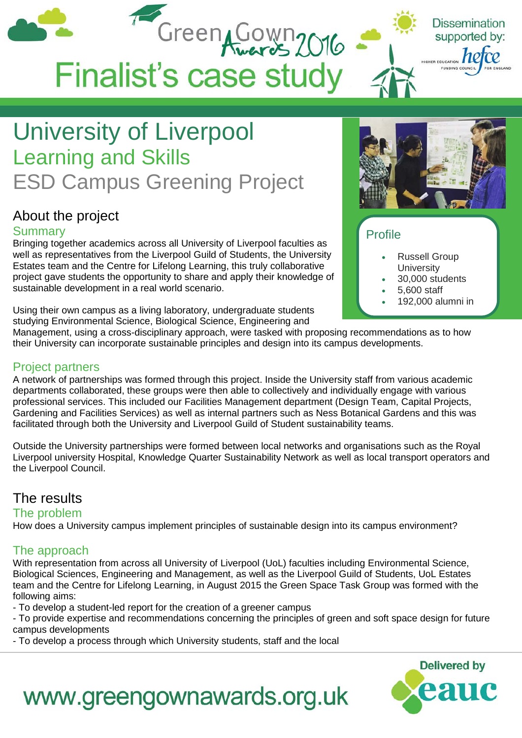

## University of Liverpool Learning and Skills ESD Campus Greening Project

## About the project

#### **Summary**

Bringing together academics across all University of Liverpool faculties as well as representatives from the Liverpool Guild of Students, the University Estates team and the Centre for Lifelong Learning, this truly collaborative project gave students the opportunity to share and apply their knowledge of sustainable development in a real world scenario.

Using their own campus as a living laboratory, undergraduate students studying Environmental Science, Biological Science, Engineering and



### Profile

- Russell Group **University**
- 30,000 students
- 5,600 staff
- 192,000 alumni in

Management, using a cross-disciplinary approach, were tasked with proposing recommendations as to how their University can incorporate sustainable principles and design into its campus developments.

#### Project partners

A network of partnerships was formed through this project. Inside the University staff from various academic departments collaborated, these groups were then able to collectively and individually engage with various professional services. This included our Facilities Management department (Design Team, Capital Projects, Gardening and Facilities Services) as well as internal partners such as Ness Botanical Gardens and this was facilitated through both the University and Liverpool Guild of Student sustainability teams.

Outside the University partnerships were formed between local networks and organisations such as the Royal Liverpool university Hospital, Knowledge Quarter Sustainability Network as well as local transport operators and the Liverpool Council.

## The results

#### The problem

How does a University campus implement principles of sustainable design into its campus environment?

#### The approach

With representation from across all University of Liverpool (UoL) faculties including Environmental Science, Biological Sciences, Engineering and Management, as well as the Liverpool Guild of Students, UoL Estates team and the Centre for Lifelong Learning, in August 2015 the Green Space Task Group was formed with the following aims:

- To develop a student-led report for the creation of a greener campus

- To provide expertise and recommendations concerning the principles of green and soft space design for future campus developments

- To develop a process through which University students, staff and the local



## www.greengownawards.org.uk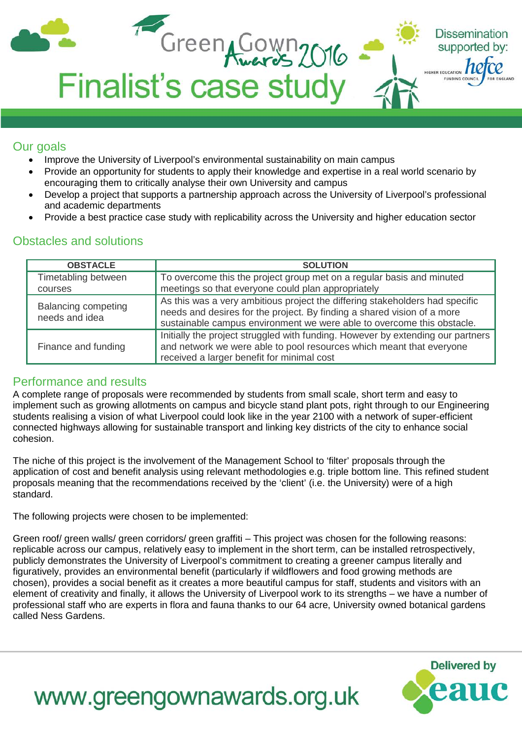| Green Cown 2016<br><b>Finalist's case study</b> | <b>Dissemination</b><br>supported by:<br>FOR ENGLAND<br>FUNDING COUNCIL |
|-------------------------------------------------|-------------------------------------------------------------------------|
|                                                 |                                                                         |

#### Our goals

- Improve the University of Liverpool's environmental sustainability on main campus
- Provide an opportunity for students to apply their knowledge and expertise in a real world scenario by encouraging them to critically analyse their own University and campus
- Develop a project that supports a partnership approach across the University of Liverpool's professional and academic departments
- Provide a best practice case study with replicability across the University and higher education sector

### Obstacles and solutions

| <b>OBSTACLE</b>                              | <b>SOLUTION</b>                                                                                                                                                                                                                   |
|----------------------------------------------|-----------------------------------------------------------------------------------------------------------------------------------------------------------------------------------------------------------------------------------|
| Timetabling between<br>courses               | To overcome this the project group met on a regular basis and minuted<br>meetings so that everyone could plan appropriately                                                                                                       |
| <b>Balancing competing</b><br>needs and idea | As this was a very ambitious project the differing stakeholders had specific<br>needs and desires for the project. By finding a shared vision of a more<br>sustainable campus environment we were able to overcome this obstacle. |
| Finance and funding                          | Initially the project struggled with funding. However by extending our partners<br>and network we were able to pool resources which meant that everyone<br>received a larger benefit for minimal cost                             |

#### Performance and results

A complete range of proposals were recommended by students from small scale, short term and easy to implement such as growing allotments on campus and bicycle stand plant pots, right through to our Engineering students realising a vision of what Liverpool could look like in the year 2100 with a network of super-efficient connected highways allowing for sustainable transport and linking key districts of the city to enhance social cohesion.

The niche of this project is the involvement of the Management School to 'filter' proposals through the application of cost and benefit analysis using relevant methodologies e.g. triple bottom line. This refined student proposals meaning that the recommendations received by the 'client' (i.e. the University) were of a high standard.

The following projects were chosen to be implemented:

Green roof/ green walls/ green corridors/ green graffiti – This project was chosen for the following reasons: replicable across our campus, relatively easy to implement in the short term, can be installed retrospectively, publicly demonstrates the University of Liverpool's commitment to creating a greener campus literally and figuratively, provides an environmental benefit (particularly if wildflowers and food growing methods are chosen), provides a social benefit as it creates a more beautiful campus for staff, students and visitors with an element of creativity and finally, it allows the University of Liverpool work to its strengths – we have a number of professional staff who are experts in flora and fauna thanks to our 64 acre, University owned botanical gardens called Ness Gardens.

**Delivered by**